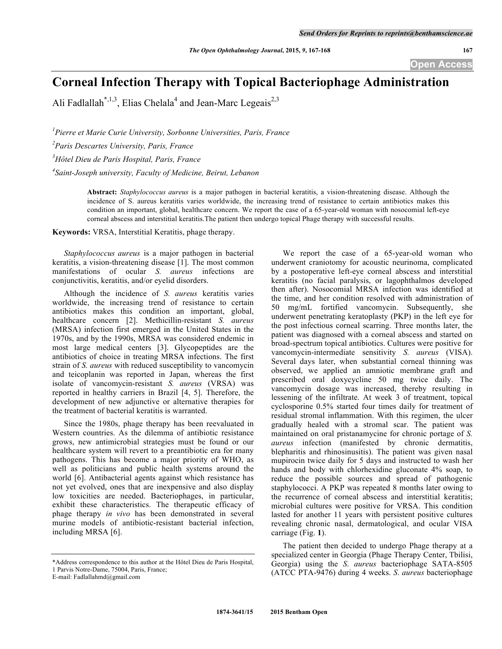**Open Access**

## **Corneal Infection Therapy with Topical Bacteriophage Administration**

Ali Fadlallah<sup>\*,1,3</sup>, Elias Chelala<sup>4</sup> and Jean-Marc Legeais<sup>2,3</sup>

 *Pierre et Marie Curie University, Sorbonne Universities, Paris, France Paris Descartes University, Paris, France Hôtel Dieu de Paris Hospital, Paris, France Saint-Joseph university, Faculty of Medicine, Beirut, Lebanon*

> **Abstract:** *Staphylococcus aureus* is a major pathogen in bacterial keratitis, a vision-threatening disease. Although the incidence of S. aureus keratitis varies worldwide, the increasing trend of resistance to certain antibiotics makes this condition an important, global, healthcare concern. We report the case of a 65-year-old woman with nosocomial left-eye corneal abscess and interstitial keratitis.The patient then undergo topical Phage therapy with successful results.

**Keywords:** VRSA, Interstitial Keratitis, phage therapy.

*Staphylococcus aureus* is a major pathogen in bacterial keratitis, a vision-threatening disease [1]. The most common manifestations of ocular *S. aureus* infections are conjunctivitis, keratitis, and/or eyelid disorders.

Although the incidence of *S. aureus* keratitis varies worldwide, the increasing trend of resistance to certain antibiotics makes this condition an important, global, healthcare concern [2]. Methicillin-resistant *S. aureus* (MRSA) infection first emerged in the United States in the 1970s, and by the 1990s, MRSA was considered endemic in most large medical centers [3]. Glycopeptides are the antibiotics of choice in treating MRSA infections. The first strain of *S. aureus* with reduced susceptibility to vancomycin and teicoplanin was reported in Japan, whereas the first isolate of vancomycin-resistant *S. aureus* (VRSA) was reported in healthy carriers in Brazil [4, 5]. Therefore, the development of new adjunctive or alternative therapies for the treatment of bacterial keratitis is warranted.

Since the 1980s, phage therapy has been reevaluated in Western countries. As the dilemma of antibiotic resistance grows, new antimicrobial strategies must be found or our healthcare system will revert to a preantibiotic era for many pathogens. This has become a major priority of WHO, as well as politicians and public health systems around the world [6]. Antibacterial agents against which resistance has not yet evolved, ones that are inexpensive and also display low toxicities are needed. Bacteriophages, in particular, exhibit these characteristics. The therapeutic efficacy of phage therapy *in vivo* has been demonstrated in several murine models of antibiotic-resistant bacterial infection, including MRSA [6].

We report the case of a 65-year-old woman who underwent craniotomy for acoustic neurinoma, complicated by a postoperative left-eye corneal abscess and interstitial keratitis (no facial paralysis, or lagophthalmos developed then after). Nosocomial MRSA infection was identified at the time, and her condition resolved with administration of 50 mg/mL fortified vancomycin. Subsequently, she underwent penetrating keratoplasty (PKP) in the left eye for the post infectious corneal scarring. Three months later, the patient was diagnosed with a corneal abscess and started on broad-spectrum topical antibiotics. Cultures were positive for vancomycin-intermediate sensitivity *S. aureus* (VISA). Several days later, when substantial corneal thinning was observed, we applied an amniotic membrane graft and prescribed oral doxycycline 50 mg twice daily. The vancomycin dosage was increased, thereby resulting in lessening of the infiltrate. At week 3 of treatment, topical cyclosporine 0.5% started four times daily for treatment of residual stromal inflammation. With this regimen, the ulcer gradually healed with a stromal scar. The patient was maintained on oral pristanamycine for chronic portage of *S. aureus* infection (manifested by chronic dermatitis, blepharitis and rhinosinusitis). The patient was given nasal mupirocin twice daily for 5 days and instructed to wash her hands and body with chlorhexidine gluconate 4% soap, to reduce the possible sources and spread of pathogenic staphylococci. A PKP was repeated 8 months later owing to the recurrence of corneal abscess and interstitial keratitis; microbial cultures were positive for VRSA. This condition lasted for another 11 years with persistent positive cultures revealing chronic nasal, dermatological, and ocular VISA carriage (Fig. **1**).

The patient then decided to undergo Phage therapy at a specialized center in Georgia (Phage Therapy Center, Tbilisi, Georgia) using the *S*. *aureus* bacteriophage SATA-8505 (ATCC PTA-9476) during 4 weeks. *S*. *aureus* bacteriophage

<sup>\*</sup>Address correspondence to this author at the Hôtel Dieu de Paris Hospital, 1 Parvis Notre-Dame, 75004, Paris, France;

E-mail: Fadlallahmd@gmail.com